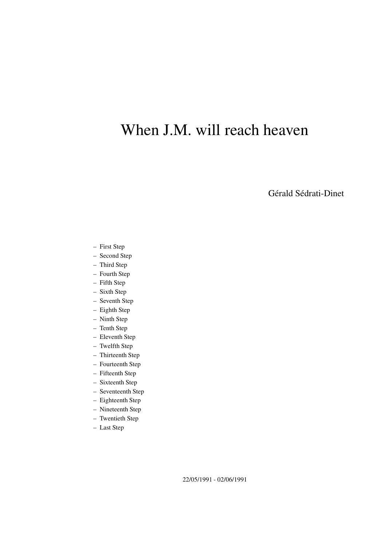# When J.M. will reach heaven

Gérald Sédrati-Dinet

- First Step
- Second Step
- Third Step
- Fourth Step
- Fifth Step
- Sixth Step
- Seventh Step
- Eighth Step
- Ninth Step
- Tenth Step
- Eleventh Step
- Twelfth Step
- Thirteenth Step
- Fourteenth Step
- Fifteenth Step
- Sixteenth Step
- Seventeenth Step
- Eighteenth Step
- Nineteenth Step
- Twentieth Step
- Last Step

22/05/1991 - 02/06/1991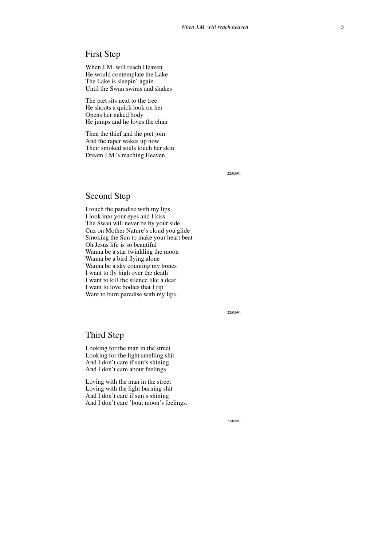# First Step

When J.M. will reach Heaven He would contemplate the Lake The Lake is sleepin' again Until the Swan swims and shakes

The pœt sits next to the tree He shoots a quick look on her Opens her naked body He jumps and he loves the chair

Then the thief and the pœt join And the raper wakes up now Their smoked souls touch her skin Dream J.M.'s reaching Heaven.

22/05/91

# Second Step

I touch the paradise with my lips I look into your eyes and I kiss The Swan will never be by your side Cuz on Mother Nature's cloud you glide Smoking the Sun to make your heart beat Oh Jesus life is so beautiful Wanna be a star twinkling the moon Wanna be a bird flying alone Wanna be a sky counting my bones I want to fly high over the death I want to kill the silence like a deaf I want to love bodies that I rip Want to burn paradise with my lips.

22/05/91

#### Third Step

Looking for the man in the street Looking for the light smelling shit And I don't care if sun's shining And I don't care about feelings

Loving with the man in the street Loving with the light burning shit And I don't care if sun's shining And I don't care 'bout moon's feelings.

22/05/91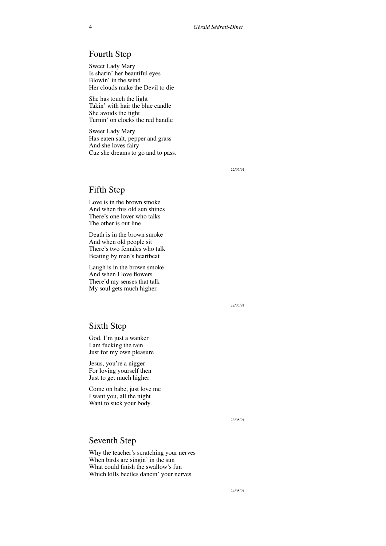# Fourth Step

Sweet Lady Mary Is sharin' her beautiful eyes Blowin' in the wind Her clouds make the Devil to die

She has touch the light Takin' with hair the blue candle She avoids the fight Turnin' on clocks the red handle

Sweet Lady Mary Has eaten salt, pepper and grass And she loves fairy Cuz she dreams to go and to pass.

22/05/91

# Fifth Step

Love is in the brown smoke And when this old sun shines There's one lover who talks The other is out line

Death is in the brown smoke And when old people sit There's two females who talk Beating by man's heartbeat

Laugh is in the brown smoke And when I love flowers There'd my senses that talk My soul gets much higher.

22/05/91

#### Sixth Step

God, I'm just a wanker I am fucking the rain Just for my own pleasure

Jesus, you're a nigger For loving yourself then Just to get much higher

Come on babe, just love me I want you, all the night Want to suck your body.

23/05/91

# Seventh Step

Why the teacher's scratching your nerves When birds are singin' in the sun What could finish the swallow's fun Which kills beetles dancin' your nerves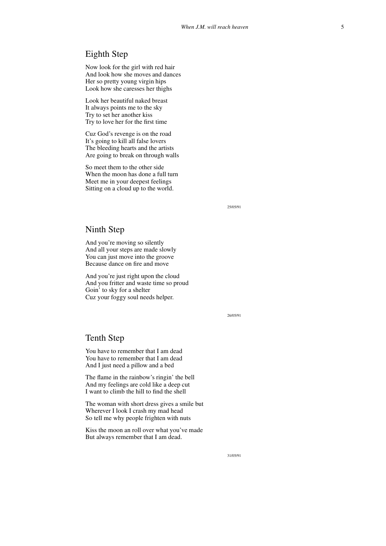# Eighth Step

Now look for the girl with red hair And look how she moves and dances Her so pretty young virgin hips Look how she caresses her thighs

Look her beautiful naked breast It always points me to the sky Try to set her another kiss Try to love her for the first time

Cuz God's revenge is on the road It's going to kill all false lovers The bleeding hearts and the artists Are going to break on through walls

So meet them to the other side When the moon has done a full turn Meet me in your deepest feelings Sitting on a cloud up to the world.

25/05/91

#### Ninth Step

And you're moving so silently And all your steps are made slowly You can just move into the groove Because dance on fire and move

And you're just right upon the cloud And you fritter and waste time so proud Goin' to sky for a shelter Cuz your foggy soul needs helper.

26/05/91

# Tenth Step

You have to remember that I am dead You have to remember that I am dead And I just need a pillow and a bed

The flame in the rainbow's ringin' the bell And my feelings are cold like a deep cut I want to climb the hill to find the shell

The woman with short dress gives a smile but Wherever I look I crash my mad head So tell me why people frighten with nuts

Kiss the moon an roll over what you've made But always remember that I am dead.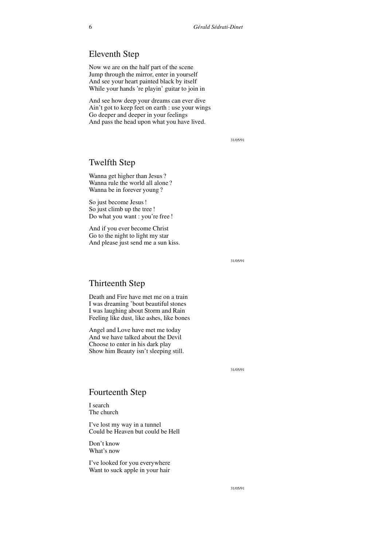# Eleventh Step

Now we are on the half part of the scene Jump through the mirror, enter in yourself And see your heart painted black by itself While your hands 're playin' guitar to join in

And see how deep your dreams can ever dive Ain't got to keep feet on earth : use your wings Go deeper and deeper in your feelings And pass the head upon what you have lived.

31/05/91

#### Twelfth Step

Wanna get higher than Jesus ? Wanna rule the world all alone ? Wanna be in forever young ?

So just become Jesus! So just climb up the tree ! Do what you want : you're free !

And if you ever become Christ Go to the night to light my star And please just send me a sun kiss.

31/05/91

# Thirteenth Step

Death and Fire have met me on a train I was dreaming 'bout beautiful stones I was laughing about Storm and Rain Feeling like dust, like ashes, like bones

Angel and Love have met me today And we have talked about the Devil Choose to enter in his dark play Show him Beauty isn't sleeping still.

31/05/91

#### Fourteenth Step

I search The church

I've lost my way in a tunnel Could be Heaven but could be Hell

Don't know What's now

I've looked for you everywhere Want to suck apple in your hair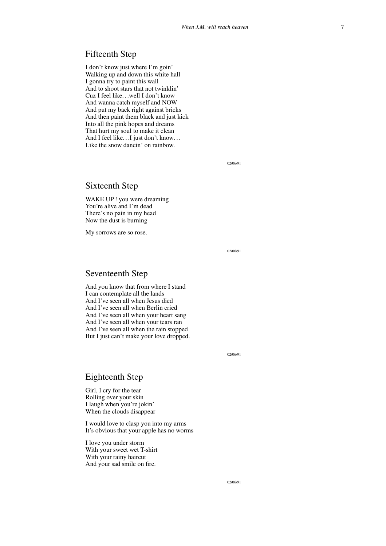#### Fifteenth Step

I don't know just where I'm goin' Walking up and down this white hall I gonna try to paint this wall And to shoot stars that not twinklin' Cuz I feel like. . .well I don't know And wanna catch myself and NOW And put my back right against bricks And then paint them black and just kick Into all the pink hopes and dreams That hurt my soul to make it clean And I feel like. . . I just don't know... Like the snow dancin' on rainbow.

02/06/91

#### Sixteenth Step

WAKE UP ! you were dreaming You're alive and I'm dead There's no pain in my head Now the dust is burning

My sorrows are so rose.

02/06/91

#### Seventeenth Step

And you know that from where I stand I can contemplate all the lands And I've seen all when Jesus died And I've seen all when Berlin cried And I've seen all when your heart sang And I've seen all when your tears ran And I've seen all when the rain stopped But I just can't make your love dropped.

02/06/91

#### Eighteenth Step

Girl, I cry for the tear Rolling over your skin I laugh when you're jokin' When the clouds disappear

I would love to clasp you into my arms It's obvious that your apple has no worms

I love you under storm With your sweet wet T-shirt With your rainy haircut And your sad smile on fire.